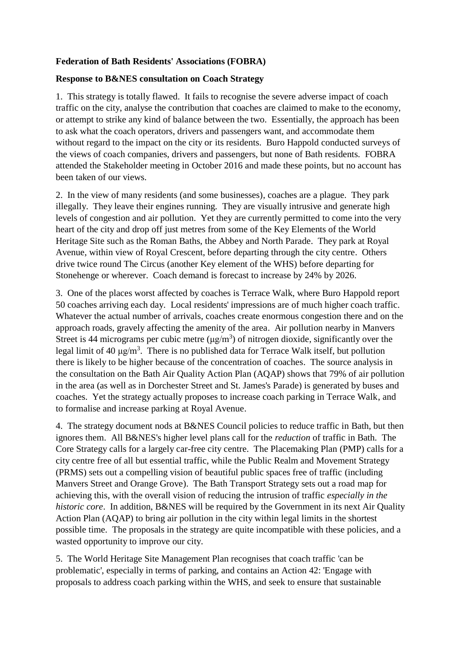## **Federation of Bath Residents' Associations (FOBRA)**

## **Response to B&NES consultation on Coach Strategy**

1. This strategy is totally flawed. It fails to recognise the severe adverse impact of coach traffic on the city, analyse the contribution that coaches are claimed to make to the economy, or attempt to strike any kind of balance between the two. Essentially, the approach has been to ask what the coach operators, drivers and passengers want, and accommodate them without regard to the impact on the city or its residents. Buro Happold conducted surveys of the views of coach companies, drivers and passengers, but none of Bath residents. FOBRA attended the Stakeholder meeting in October 2016 and made these points, but no account has been taken of our views.

2. In the view of many residents (and some businesses), coaches are a plague. They park illegally. They leave their engines running. They are visually intrusive and generate high levels of congestion and air pollution. Yet they are currently permitted to come into the very heart of the city and drop off just metres from some of the Key Elements of the World Heritage Site such as the Roman Baths, the Abbey and North Parade. They park at Royal Avenue, within view of Royal Crescent, before departing through the city centre. Others drive twice round The Circus (another Key element of the WHS) before departing for Stonehenge or wherever. Coach demand is forecast to increase by 24% by 2026.

3. One of the places worst affected by coaches is Terrace Walk, where Buro Happold report 50 coaches arriving each day. Local residents' impressions are of much higher coach traffic. Whatever the actual number of arrivals, coaches create enormous congestion there and on the approach roads, gravely affecting the amenity of the area. Air pollution nearby in Manvers Street is 44 micrograms per cubic metre  $(\mu g/m^3)$  of nitrogen dioxide, significantly over the legal limit of 40  $\mu$ g/m<sup>3</sup>. There is no published data for Terrace Walk itself, but pollution there is likely to be higher because of the concentration of coaches. The source analysis in the consultation on the Bath Air Quality Action Plan (AQAP) shows that 79% of air pollution in the area (as well as in Dorchester Street and St. James's Parade) is generated by buses and coaches. Yet the strategy actually proposes to increase coach parking in Terrace Walk, and to formalise and increase parking at Royal Avenue.

4. The strategy document nods at B&NES Council policies to reduce traffic in Bath, but then ignores them. All B&NES's higher level plans call for the *reduction* of traffic in Bath. The Core Strategy calls for a largely car-free city centre. The Placemaking Plan (PMP) calls for a city centre free of all but essential traffic, while the Public Realm and Movement Strategy (PRMS) sets out a compelling vision of beautiful public spaces free of traffic (including Manvers Street and Orange Grove). The Bath Transport Strategy sets out a road map for achieving this, with the overall vision of reducing the intrusion of traffic *especially in the historic core*. In addition, B&NES will be required by the Government in its next Air Quality Action Plan (AQAP) to bring air pollution in the city within legal limits in the shortest possible time. The proposals in the strategy are quite incompatible with these policies, and a wasted opportunity to improve our city.

5. The World Heritage Site Management Plan recognises that coach traffic 'can be problematic', especially in terms of parking, and contains an Action 42: 'Engage with proposals to address coach parking within the WHS, and seek to ensure that sustainable